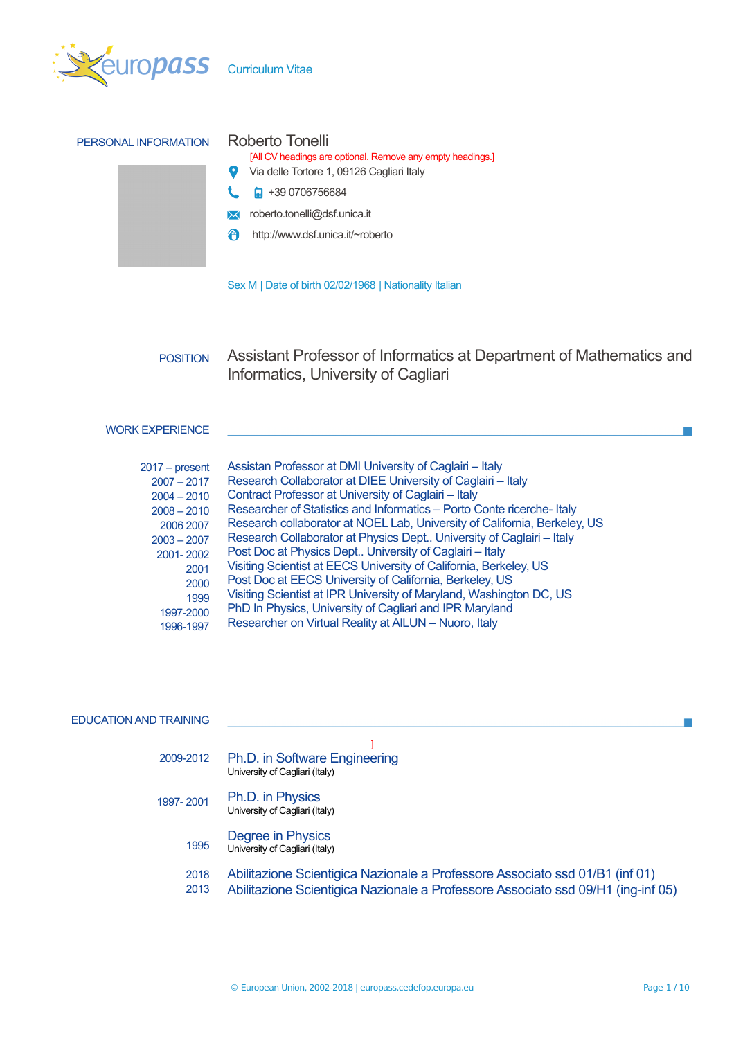

| PERSONAL INFORMATION | Roberto Tonelli<br>[All CV headings are optional. Remove any empty headings.]<br>Via delle Tortore 1, 09126 Cagliari Italy |
|----------------------|----------------------------------------------------------------------------------------------------------------------------|
|                      | +39 0706756684<br>⊟                                                                                                        |
|                      | roberto.tonelli@dsf.unica.it                                                                                               |
|                      | http://www.dsf.unica.it/~roberto<br>Æ                                                                                      |
|                      |                                                                                                                            |
|                      | Sex M   Date of birth 02/02/1968   Nationality Italian                                                                     |

POSITION Assistant Professor of Informatics at Department of Mathematics and Informatics, University of Cagliari

# WORK EXPERIENCE

| $2017 - present$ | Assistan Professor at DMI University of Caglairi - Italy                  |
|------------------|---------------------------------------------------------------------------|
| $2007 - 2017$    | Research Collaborator at DIEE University of Caglairi - Italy              |
| $2004 - 2010$    | Contract Professor at University of Caglairi - Italy                      |
| $2008 - 2010$    | Researcher of Statistics and Informatics - Porto Conte ricerche-Italy     |
| 2006 2007        | Research collaborator at NOEL Lab, University of California, Berkeley, US |
| $2003 - 2007$    | Research Collaborator at Physics Dept University of Caglairi - Italy      |
| 2001-2002        | Post Doc at Physics Dept University of Caglairi - Italy                   |
| 2001             | Visiting Scientist at EECS University of California, Berkeley, US         |
| 2000             | Post Doc at EECS University of California, Berkeley, US                   |
| 1999             | Visiting Scientist at IPR University of Maryland, Washington DC, US       |
| 1997-2000        | PhD In Physics, University of Cagliari and IPR Maryland                   |
| 1996-1997        | Researcher on Virtual Reality at AILUN - Nuoro, Italy                     |

## EDUCATION AND TRAINING

| 2009-2012    | Ph.D. in Software Engineering<br>University of Cagliari (Italy)                                                                                                  |
|--------------|------------------------------------------------------------------------------------------------------------------------------------------------------------------|
| 1997-2001    | Ph.D. in Physics<br>University of Cagliari (Italy)                                                                                                               |
| 1995         | Degree in Physics<br>University of Cagliari (Italy)                                                                                                              |
| 2018<br>2013 | Abilitazione Scientigica Nazionale a Professore Associato ssd 01/B1 (inf 01)<br>Abilitazione Scientigica Nazionale a Professore Associato ssd 09/H1 (ing-inf 05) |

**The Co** 

m.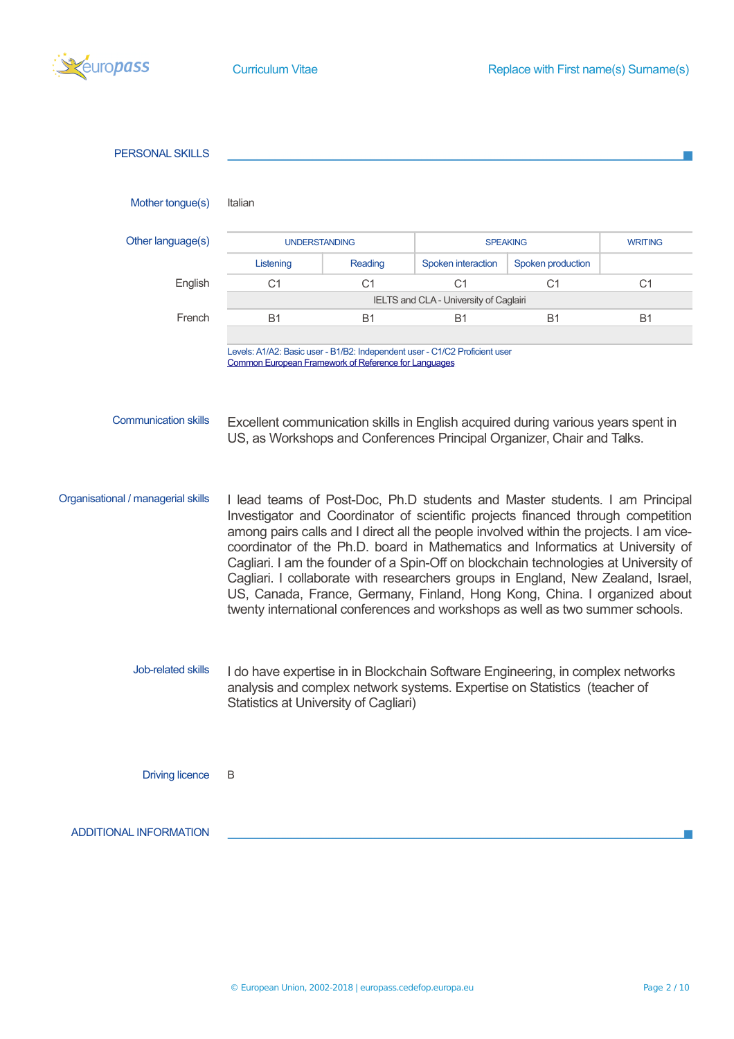

| <b>PERSONAL SKILLS</b>             |                                                                                                                                                                                                                                                                                                                                                                                                                                                                                                                                                                                                                                                                                       |                |                    |                   |                |  |
|------------------------------------|---------------------------------------------------------------------------------------------------------------------------------------------------------------------------------------------------------------------------------------------------------------------------------------------------------------------------------------------------------------------------------------------------------------------------------------------------------------------------------------------------------------------------------------------------------------------------------------------------------------------------------------------------------------------------------------|----------------|--------------------|-------------------|----------------|--|
|                                    |                                                                                                                                                                                                                                                                                                                                                                                                                                                                                                                                                                                                                                                                                       |                |                    |                   |                |  |
| Mother tongue(s)                   | Italian                                                                                                                                                                                                                                                                                                                                                                                                                                                                                                                                                                                                                                                                               |                |                    |                   |                |  |
| Other language(s)                  | <b>UNDERSTANDING</b>                                                                                                                                                                                                                                                                                                                                                                                                                                                                                                                                                                                                                                                                  |                | <b>SPEAKING</b>    |                   | <b>WRITING</b> |  |
|                                    | Listening                                                                                                                                                                                                                                                                                                                                                                                                                                                                                                                                                                                                                                                                             | Reading        | Spoken interaction | Spoken production |                |  |
| English                            | C <sub>1</sub>                                                                                                                                                                                                                                                                                                                                                                                                                                                                                                                                                                                                                                                                        | C <sub>1</sub> | C <sub>1</sub>     | C <sub>1</sub>    | C <sub>1</sub> |  |
|                                    | IELTS and CLA - University of Caglairi                                                                                                                                                                                                                                                                                                                                                                                                                                                                                                                                                                                                                                                |                |                    |                   |                |  |
| French                             | <b>B1</b>                                                                                                                                                                                                                                                                                                                                                                                                                                                                                                                                                                                                                                                                             | <b>B1</b>      | B1                 | <b>B1</b>         | <b>B1</b>      |  |
|                                    | Levels: A1/A2: Basic user - B1/B2: Independent user - C1/C2 Proficient user<br><b>Common European Framework of Reference for Languages</b>                                                                                                                                                                                                                                                                                                                                                                                                                                                                                                                                            |                |                    |                   |                |  |
| <b>Communication skills</b>        | Excellent communication skills in English acquired during various years spent in<br>US, as Workshops and Conferences Principal Organizer, Chair and Talks.                                                                                                                                                                                                                                                                                                                                                                                                                                                                                                                            |                |                    |                   |                |  |
| Organisational / managerial skills | I lead teams of Post-Doc, Ph.D students and Master students. I am Principal<br>Investigator and Coordinator of scientific projects financed through competition<br>among pairs calls and I direct all the people involved within the projects. I am vice-<br>coordinator of the Ph.D. board in Mathematics and Informatics at University of<br>Cagliari. I am the founder of a Spin-Off on blockchain technologies at University of<br>Cagliari. I collaborate with researchers groups in England, New Zealand, Israel,<br>US, Canada, France, Germany, Finland, Hong Kong, China. I organized about<br>twenty international conferences and workshops as well as two summer schools. |                |                    |                   |                |  |
| Job-related skills                 | I do have expertise in in Blockchain Software Engineering, in complex networks<br>analysis and complex network systems. Expertise on Statistics (teacher of<br>Statistics at University of Cagliari)                                                                                                                                                                                                                                                                                                                                                                                                                                                                                  |                |                    |                   |                |  |
| <b>Driving licence</b>             | B                                                                                                                                                                                                                                                                                                                                                                                                                                                                                                                                                                                                                                                                                     |                |                    |                   |                |  |
| <b>ADDITIONAL INFORMATION</b>      |                                                                                                                                                                                                                                                                                                                                                                                                                                                                                                                                                                                                                                                                                       |                |                    |                   |                |  |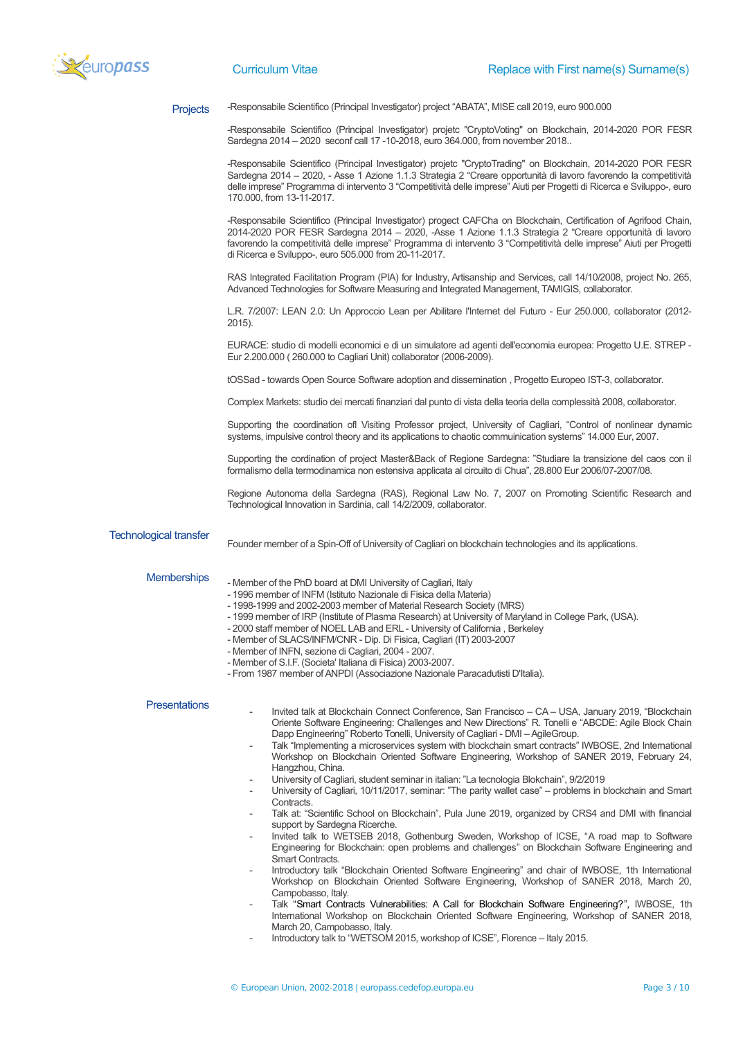

**Projects** 

-Responsabile Scientifico (Principal Investigator) project "ABATA", MISE call 2019, euro 900.000

-Responsabile Scientifico (Principal Investigator) projetc "CryptoVoting" on Blockchain, 2014-2020 POR FESR Sardegna 2014 – 2020 seconf call 17 -10-2018, euro 364.000, from november 2018..

-Responsabile Scientifico (Principal Investigator) projetc "CryptoTrading" on Blockchain, 2014-2020 POR FESR Sardegna 2014 – 2020, - Asse 1 Azione 1.1.3 Strategia 2 "Creare opportunità di lavoro favorendo la competitività delle imprese" Programma di intervento 3 "Competitività delle imprese" Aiuti per Progetti di Ricerca e Sviluppo-, euro 170.000, from 13-11-2017.

-Responsabile Scientifico (Principal Investigator) progect CAFCha on Blockchain, Certification of Agrifood Chain, 2014-2020 POR FESR Sardegna 2014 – 2020, -Asse 1 Azione 1.1.3 Strategia 2 "Creare opportunità di lavoro favorendo la competitività delle imprese" Programma di intervento 3 "Competitività delle imprese" Aiuti per Progetti di Ricerca e Sviluppo-, euro 505.000 from 20-11-2017.

RAS Integrated Facilitation Program (PIA) for Industry, Artisanship and Services, call 14/10/2008, project No. 265, Advanced Technologies for Software Measuring and Integrated Management, TAMIGIS, collaborator.

L.R. 7/2007: LEAN 2.0: Un Approccio Lean per Abilitare l'Internet del Futuro - Eur 250.000, collaborator (2012- 2015).

EURACE: studio di modelli economici e di un simulatore ad agenti dell'economia europea: Progetto U.E. STREP - Eur 2.200.000 ( 260.000 to Cagliari Unit) collaborator (2006-2009).

tOSSad - towards Open Source Software adoption and dissemination , Progetto Europeo IST-3, collaborator.

Complex Markets: studio dei mercati finanziari dal punto di vista della teoria della complessità 2008, collaborator.

Supporting the coordination ofl Visiting Professor project, University of Cagliari, "Control of nonlinear dynamic systems, impulsive control theory and its applications to chaotic commuinication systems" 14.000 Eur, 2007.

Supporting the cordination of project Master&Back of Regione Sardegna: "Studiare la transizione del caos con il formalismo della termodinamica non estensiva applicata al circuito di Chua", 28.800 Eur 2006/07-2007/08.

Regione Autonoma della Sardegna (RAS), Regional Law No. 7, 2007 on Promoting Scientific Research and Technological Innovation in Sardinia, call 14/2/2009, collaborator.

### Technological transfer

Founder member of a Spin-Off of University of Cagliari on blockchain technologies and its applications.

#### **Memberships**

- Member of the PhD board at DMI University of Cagliari, Italy

- 1996 member of INFM (Istituto Nazionale di Fisica della Materia)
- 1998-1999 and 2002-2003 member of Material Research Society (MRS)
- 1999 member of IRP (Institute of Plasma Research) at University of Maryland in College Park, (USA).
- 2000 staff member of NOEL LAB and ERL University of California , Berkeley
- Member of SLACS/INFM/CNR Dip. Di Fisica, Cagliari (IT) 2003-2007
- Member of INFN, sezione di Cagliari, 2004 2007.
- Member of S.I.F. (Societa' Italiana di Fisica) 2003-2007.
- From 1987 member of ANPDI (Associazione Nazionale Paracadutisti D'Italia).

#### **Presentations**

- Invited talk at Blockchain Connect Conference, San Francisco CA USA, January 2019, "Blockchain Oriente Software Engineering: Challenges and New Directions" R. Tonelli e "ABCDE: Agile Block Chain Dapp Engineering" Roberto Tonelli, University of Cagliari - DMI – AgileGroup.
- Talk "Implementing a microservices system with blockchain smart contracts" IWBOSE, 2nd International Workshop on Blockchain Oriented Software Engineering, Workshop of SANER 2019, February 24, Hangzhou, China.
- University of Cagliari, student seminar in italian: "La tecnologia Blokchain", 9/2/2019
- University of Cagliari, 10/11/2017, seminar: "The parity wallet case" problems in blockchain and Smart Contracts.
- Talk at: "Scientific School on Blockchain", Pula June 2019, organized by CRS4 and DMI with financial support by Sardegna Ricerche.
- Invited talk to WETSEB 2018, Gothenburg Sweden, Workshop of ICSE, "A road map to Software Engineering for Blockchain: open problems and challenges" on Blockchain Software Engineering and Smart Contracts.
- Introductory talk "Blockchain Oriented Software Engineering" and chair of IWBOSE, 1th International Workshop on Blockchain Oriented Software Engineering, Workshop of SANER 2018, March 20, Campobasso, Italy.
- Talk "Smart Contracts Vulnerabilities: A Call for Blockchain Software Engineering?", IWBOSE, 1th International Workshop on Blockchain Oriented Software Engineering, Workshop of SANER 2018, March 20, Campobasso, Italy.
- Introductory talk to "WETSOM 2015, workshop of ICSE", Florence Italy 2015.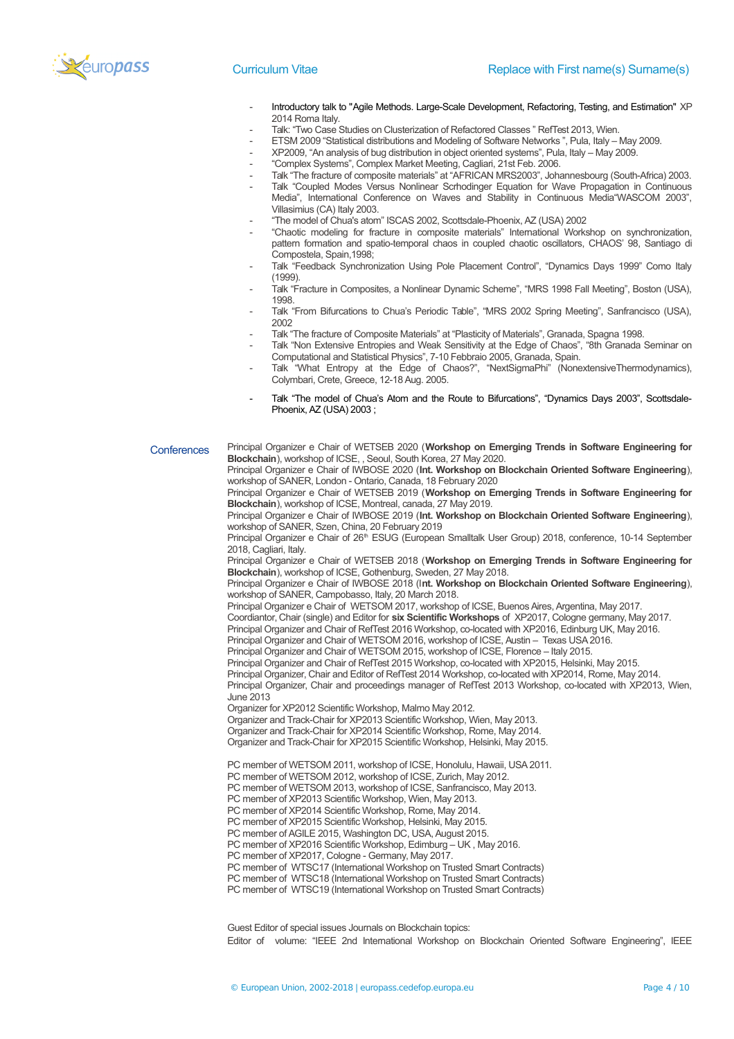

- Introductory talk to ["Agile Methods. Large-Scale Development, Refactoring, Testing, and Estimation" X](http://scholar.google.it/citations?view_op=view_citation&hl=it&user=kCjnRKAAAAAJ&sortby=pubdate&citation_for_view=kCjnRKAAAAAJ:NaGl4SEjCO4C)P 2014 Roma Italy.
- Talk: "Two Case Studies on Clusterization of Refactored Classes " RefTest 2013, Wien.
- ETSM 2009 "Statistical distributions and Modeling of Software Networks", Pula, Italy May 2009.
- XP2009, "An analysis of bug distribution in object oriented systems", Pula, Italy May 2009.
- "Complex Systems", Complex Market Meeting, Cagliari, 21st Feb. 2006.
- Talk "The fracture of composite materials" at "AFRICAN MRS2003", Johannesbourg (South-Africa) 2003.
- Talk "Coupled Modes Versus Nonlinear Scrhodinger Equation for Wave Propagation in Continuous Media", International Conference on Waves and Stability in Continuous Media"WASCOM 2003", Villasimius (CA) Italy 2003.
- "The model of Chua's atom" ISCAS 2002, Scottsdale-Phoenix, AZ (USA) 2002
- "Chaotic modeling for fracture in composite materials" International Workshop on synchronization, pattern formation and spatio-temporal chaos in coupled chaotic oscillators, CHAOS' 98, Santiago di Compostela, Spain,1998;
- Talk "Feedback Synchronization Using Pole Placement Control", "Dynamics Days 1999" Como Italy (1999).
- Talk "Fracture in Composites, a Nonlinear Dynamic Scheme", "MRS 1998 Fall Meeting", Boston (USA), 1998.
- Talk "From Bifurcations to Chua's Periodic Table", "MRS 2002 Spring Meeting", Sanfrancisco (USA), 2002
- Talk "The fracture of Composite Materials" at "Plasticity of Materials", Granada, Spagna 1998.
- Talk "Non Extensive Entropies and Weak Sensitivity at the Edge of Chaos", "8th Granada Seminar on Computational and Statistical Physics", 7-10 Febbraio 2005, Granada, Spain.
- Talk "What Entropy at the Edge of Chaos?", "NextSigmaPhi" (NonextensiveThermodynamics), Colymbari, Crete, Greece, 12-18 Aug. 2005.
- Talk "The model of Chua's Atom and the Route to Bifurcations", "Dynamics Days 2003", Scottsdale-Phoenix, AZ (USA) 2003 ;

**Conferences** Principal Organizer e Chair of WETSEB 2020 (**Workshop on Emerging Trends in Software Engineering for Blockchain**), workshop of ICSE, , Seoul, South Korea, 27 May 2020.

Principal Organizer e Chair of IWBOSE 2020 (**Int. Workshop on Blockchain Oriented Software Engineering**), workshop of SANER, London - Ontario, Canada, 18 February 2020

Principal Organizer e Chair of WETSEB 2019 (**Workshop on Emerging Trends in Software Engineering for Blockchain**), workshop of ICSE, Montreal, canada, 27 May 2019.

Principal Organizer e Chair of IWBOSE 2019 (**Int. Workshop on Blockchain Oriented Software Engineering**), workshop of SANER, Szen, China, 20 February 2019

Principal Organizer e Chair of 26<sup>th</sup> ESUG (European Smalltalk User Group) 2018, conference, 10-14 September 2018, Cagliari, Italy.

Principal Organizer e Chair of WETSEB 2018 (**Workshop on Emerging Trends in Software Engineering for Blockchain**), workshop of ICSE, Gothenburg, Sweden, 27 May 2018.

Principal Organizer e Chair of IWBOSE 2018 (I**nt. Workshop on Blockchain Oriented Software Engineering**), workshop of SANER, Campobasso, Italy, 20 March 2018.

Principal Organizer e Chair of WETSOM 2017, workshop of ICSE, Buenos Aires, Argentina, May 2017.

Coordiantor, Chair (single) and Editor for **six Scientific Workshops** of XP2017, Cologne germany, May 2017.

Principal Organizer and Chair of RefTest 2016 Workshop, co-located with XP2016, Edinburg UK, May 2016.

Principal Organizer and Chair of WETSOM 2016, workshop of ICSE, Austin – Texas USA 2016.

Principal Organizer and Chair of WETSOM 2015, workshop of ICSE, Florence – Italy 2015.

Principal Organizer and Chair of RefTest 2015 Workshop, co-located with XP2015, Helsinki, May 2015.

Principal Organizer, Chair and Editor of RefTest 2014 Workshop, co-located with XP2014, Rome, May 2014. Principal Organizer, Chair and proceedings manager of RefTest 2013 Workshop, co-located with XP2013, Wien,

June 2013

Organizer for XP2012 Scientific Workshop, Malmo May 2012.

Organizer and Track-Chair for XP2013 Scientific Workshop, Wien, May 2013.

Organizer and Track-Chair for XP2014 Scientific Workshop, Rome, May 2014.

Organizer and Track-Chair for XP2015 Scientific Workshop, Helsinki, May 2015.

PC member of WETSOM 2011, workshop of ICSE, Honolulu, Hawaii, USA 2011.

PC member of WETSOM 2012, workshop of ICSE, Zurich, May 2012.

PC member of WETSOM 2013, workshop of ICSE, Sanfrancisco, May 2013.

PC member of XP2013 Scientific Workshop, Wien, May 2013.

PC member of XP2014 Scientific Workshop, Rome, May 2014.

PC member of XP2015 Scientific Workshop, Helsinki, May 2015.

PC member of AGILE 2015, Washington DC, USA, August 2015.

PC member of XP2016 Scientific Workshop, Edimburg – UK , May 2016.

PC member of XP2017, Cologne - Germany, May 2017.

PC member of WTSC17 (International Workshop on Trusted Smart Contracts)

PC member of WTSC18 (International Workshop on Trusted Smart Contracts)

PC member of WTSC19 (International Workshop on Trusted Smart Contracts)

Guest Editor of special issues Journals on Blockchain topics: Editor of volume: "IEEE 2nd International Workshop on Blockchain Oriented Software Engineering", IEEE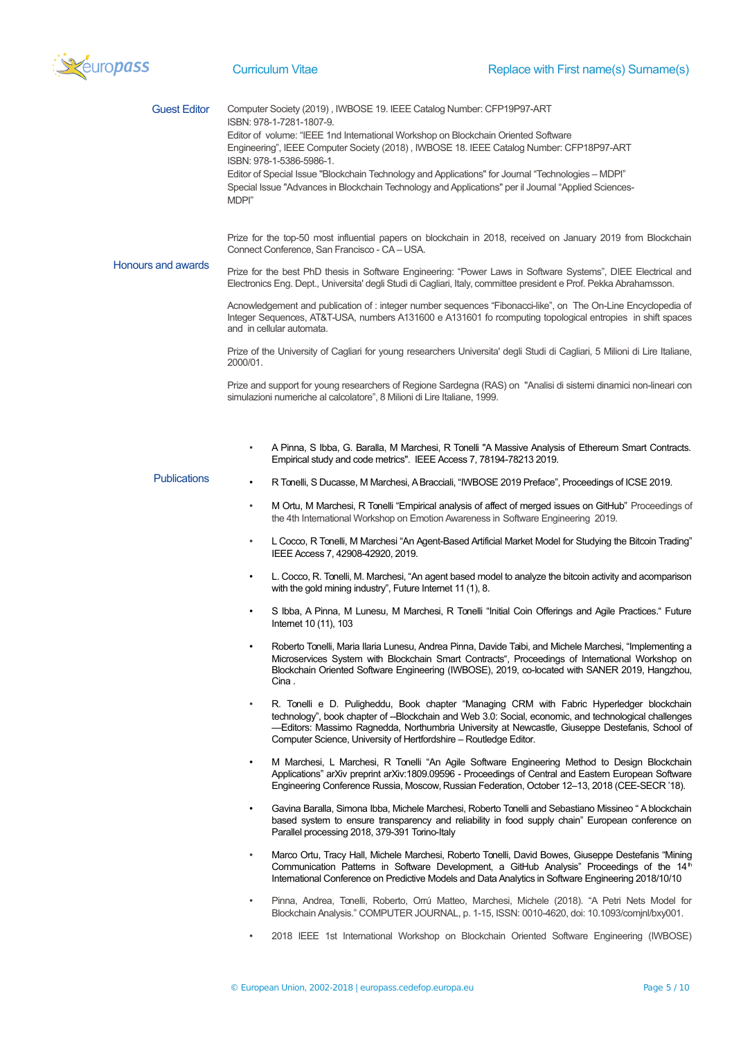

| <b>Guest Editor</b>       | Computer Society (2019), IWBOSE 19. IEEE Catalog Number: CFP19P97-ART<br>ISBN: 978-1-7281-1807-9.<br>Editor of volume: "IEEE 1nd International Workshop on Blockchain Oriented Software<br>Engineering", IEEE Computer Society (2018), IWBOSE 18. IEEE Catalog Number: CFP18P97-ART<br>ISBN: 978-1-5386-5986-1.<br>Editor of Special Issue "Blockchain Technology and Applications" for Journal "Technologies - MDPI"<br>Special Issue "Advances in Blockchain Technology and Applications" per il Journal "Applied Sciences-<br>MDPI"<br>Prize for the top-50 most influential papers on blockchain in 2018, received on January 2019 from Blockchain |  |  |  |
|---------------------------|--------------------------------------------------------------------------------------------------------------------------------------------------------------------------------------------------------------------------------------------------------------------------------------------------------------------------------------------------------------------------------------------------------------------------------------------------------------------------------------------------------------------------------------------------------------------------------------------------------------------------------------------------------|--|--|--|
| <b>Honours and awards</b> | Connect Conference, San Francisco - CA - USA.<br>Prize for the best PhD thesis in Software Engineering: "Power Laws in Software Systems", DIEE Electrical and                                                                                                                                                                                                                                                                                                                                                                                                                                                                                          |  |  |  |
|                           | Electronics Eng. Dept., Universita' degli Studi di Cagliari, Italy, committee president e Prof. Pekka Abrahamsson.                                                                                                                                                                                                                                                                                                                                                                                                                                                                                                                                     |  |  |  |
|                           | Acnowledgement and publication of : integer number sequences "Fibonacci-like", on The On-Line Encyclopedia of<br>Integer Sequences, AT&T-USA, numbers A131600 e A131601 fo rcomputing topological entropies in shift spaces<br>and in cellular automata.                                                                                                                                                                                                                                                                                                                                                                                               |  |  |  |
|                           | Prize of the University of Cagliari for young researchers Universita' degli Studi di Cagliari, 5 Milioni di Lire Italiane,<br>2000/01.                                                                                                                                                                                                                                                                                                                                                                                                                                                                                                                 |  |  |  |
|                           | Prize and support for young researchers of Regione Sardegna (RAS) on "Analisi di sistemi dinamici non-lineari con<br>simulazioni numeriche al calcolatore", 8 Milioni di Lire Italiane, 1999.                                                                                                                                                                                                                                                                                                                                                                                                                                                          |  |  |  |
|                           | A Pinna, S Ibba, G. Baralla, M Marchesi, R Tonelli "A Massive Analysis of Ethereum Smart Contracts.<br>$\bullet$<br>Empirical study and code metrics". IEEE Access 7, 78194-78213 2019.                                                                                                                                                                                                                                                                                                                                                                                                                                                                |  |  |  |
| <b>Publications</b>       | R Tonelli, S Ducasse, M Marchesi, A Bracciali, "IWBOSE 2019 Preface", Proceedings of ICSE 2019.<br>$\bullet$                                                                                                                                                                                                                                                                                                                                                                                                                                                                                                                                           |  |  |  |
|                           | M Ortu, M Marchesi, R Tonelli "Empirical analysis of affect of merged issues on GitHub" Proceedings of<br>٠<br>the 4th International Workshop on Emotion Awareness in Software Engineering 2019.                                                                                                                                                                                                                                                                                                                                                                                                                                                       |  |  |  |
|                           | L Cocco, R Tonelli, M Marchesi "An Agent-Based Artificial Market Model for Studying the Bitcoin Trading"<br>٠<br>IEEE Access 7, 42908-42920, 2019.                                                                                                                                                                                                                                                                                                                                                                                                                                                                                                     |  |  |  |
|                           | L. Cocco, R. Tonelli, M. Marchesi, "An agent based model to analyze the bitcoin activity and acomparison<br>$\bullet$<br>with the gold mining industry", Future Internet 11 (1), 8.                                                                                                                                                                                                                                                                                                                                                                                                                                                                    |  |  |  |
|                           | S Ibba, A Pinna, M Lunesu, M Marchesi, R Tonelli "Initial Coin Offerings and Agile Practices." Future<br>٠<br>Internet 10 (11), 103                                                                                                                                                                                                                                                                                                                                                                                                                                                                                                                    |  |  |  |
|                           | Roberto Tonelli, Maria Ilaria Lunesu, Andrea Pinna, Davide Taibi, and Michele Marchesi, "Implementing a<br>Microservices System with Blockchain Smart Contracts", Proceedings of International Workshop on<br>Blockchain Oriented Software Engineering (IWBOSE), 2019, co-located with SANER 2019, Hangzhou,<br>Cina.                                                                                                                                                                                                                                                                                                                                  |  |  |  |
|                           | R. Tonelli e D. Puligheddu, Book chapter "Managing CRM with Fabric Hyperledger blockchain<br>٠<br>technology", book chapter of --Blockchain and Web 3.0: Social, economic, and technological challenges<br>-Editors: Massimo Ragnedda, Northumbria University at Newcastle, Giuseppe Destefanis, School of<br>Computer Science, University of Hertfordshire - Routledge Editor.                                                                                                                                                                                                                                                                        |  |  |  |
|                           | M Marchesi, L Marchesi, R Tonelli "An Agile Software Engineering Method to Design Blockchain<br>$\bullet$<br>Applications" arXiv preprint arXiv:1809.09596 - Proceedings of Central and Eastern European Software<br>Engineering Conference Russia, Moscow, Russian Federation, October 12–13, 2018 (CEE-SECR '18).                                                                                                                                                                                                                                                                                                                                    |  |  |  |
|                           | Gavina Baralla, Simona Ibba, Michele Marchesi, Roberto Tonelli and Sebastiano Missineo "A blockchain<br>٠<br>based system to ensure transparency and reliability in food supply chain" European conference on<br>Parallel processing 2018, 379-391 Torino-Italy                                                                                                                                                                                                                                                                                                                                                                                        |  |  |  |
|                           | Marco Ortu, Tracy Hall, Michele Marchesi, Roberto Tonelli, David Bowes, Giuseppe Destefanis "Mining<br>$\bullet$<br>Communication Patterns in Software Development, a GitHub Analysis" Proceedings of the 14 <sup>th</sup><br>International Conference on Predictive Models and Data Analytics in Software Engineering 2018/10/10                                                                                                                                                                                                                                                                                                                      |  |  |  |
|                           | Pinna, Andrea, Tonelli, Roberto, Orrú Matteo, Marchesi, Michele (2018). "A Petri Nets Model for<br>$\bullet$<br>Blockchain Analysis." COMPUTER JOURNAL, p. 1-15, ISSN: 0010-4620, doi: 10.1093/comjnl/bxy001.                                                                                                                                                                                                                                                                                                                                                                                                                                          |  |  |  |
|                           | 2018 IEEE 1st International Workshop on Blockchain Oriented Software Engineering (IWBOSE)<br>$\bullet$                                                                                                                                                                                                                                                                                                                                                                                                                                                                                                                                                 |  |  |  |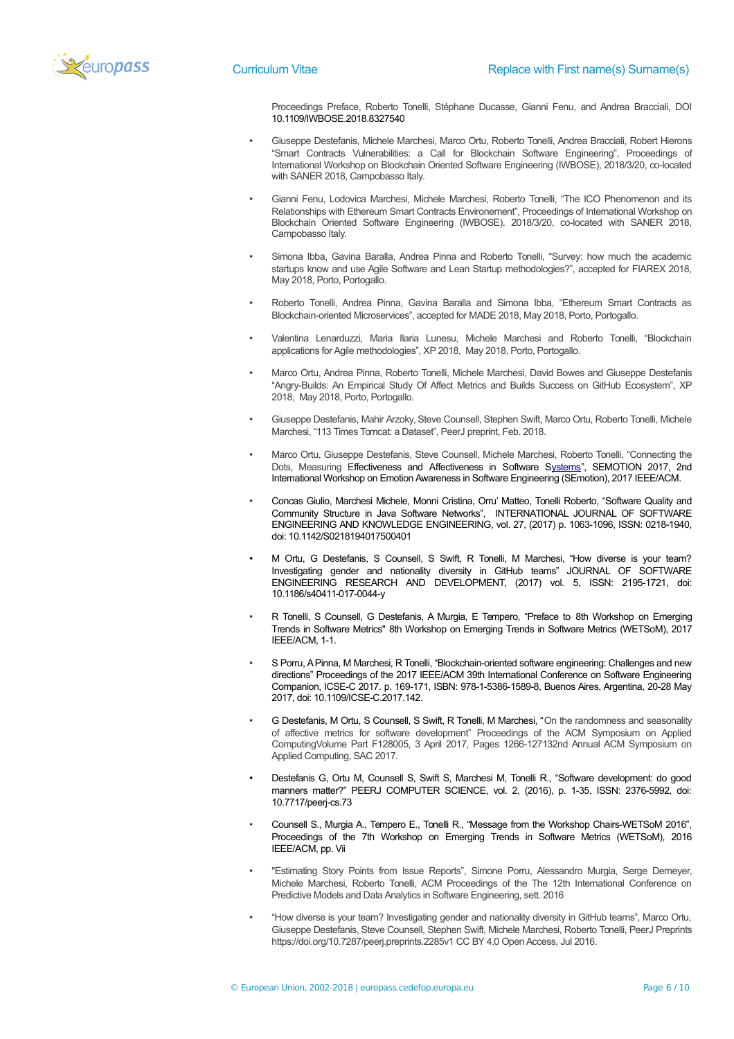

Proceedings Preface, Roberto Tonelli, Stéphane Ducasse, Gianni Fenu, and Andrea Bracciali, DOI [10.1109/IWBOSE.2018.8327540](https://doi.org/10.1109/IWBOSE.2018.8327540)

- Giuseppe Destefanis, Michele Marchesi, Marco Ortu, Roberto Tonelli, Andrea Bracciali, Robert Hierons "Smart Contracts Vulnerabilities: a Call for Blockchain Software Engineering", Proceedings of International Workshop on Blockchain Oriented Software Engineering (IWBOSE), 2018/3/20, co-located with SANER 2018, Campobasso Italy.
- Gianni Fenu, Lodovica Marchesi, Michele Marchesi, Roberto Tonelli, "The ICO Phenomenon and its Relationships with Ethereum Smart Contracts Environement", Proceedings of International Workshop on Blockchain Oriented Software Engineering (IWBOSE), 2018/3/20, co-located with SANER 2018, Campobasso Italy.
- Simona Ibba, Gavina Baralla, Andrea Pinna and Roberto Tonelli, "Survey: how much the academic startups know and use Agile Software and Lean Startup methodologies?", accepted for FIAREX 2018, May 2018, Porto, Portogallo.
- Roberto Tonelli, Andrea Pinna, Gavina Baralla and Simona Ibba, "Ethereum Smart Contracts as Blockchain-oriented Microservices", accepted for MADE 2018, May 2018, Porto, Portogallo.
- Valentina Lenarduzzi, Maria Ilaria Lunesu, Michele Marchesi and Roberto Tonelli, "Blockchain applications for Agile methodologies", XP 2018, May 2018, Porto, Portogallo.
- Marco Ortu, Andrea Pinna, Roberto Tonelli, Michele Marchesi, David Bowes and Giuseppe Destefanis "Angry-Builds: An Empirical Study Of Affect Metrics and Builds Success on GitHub Ecosystem", XP 2018, May 2018, Porto, Portogallo.
- Giuseppe Destefanis, Mahir Arzoky, Steve Counsell, Stephen Swift, Marco Ortu, Roberto Tonelli, Michele Marchesi, "113 Times Tomcat: a Dataset", PeerJ preprint, Feb. 2018.
- Marco Ortu, Giuseppe Destefanis, Steve Counsell, Michele Marchesi, Roberto Tonelli, "Connecting the Dots, Measuring [Effectiveness and Affectiveness in Software Systems"](http://ieeexplore.ieee.org/abstract/document/7961894/), SEMOTION 2017, 2nd International Workshop on Emotion Awareness in Software Engineering (SEmotion), 2017 IEEE/ACM.
- Concas Giulio, Marchesi Michele, Monni Cristina, Orru' Matteo, Tonelli Roberto, "Software Quality and Community Structure in Java Software Networks", INTERNATIONAL JOURNAL OF SOFTWARE ENGINEERING AND KNOWLEDGE ENGINEERING, vol. 27, (2017) p. 1063-1096, ISSN: 0218-1940, doi: 10.1142/S0218194017500401
- M Ortu, G Destefanis, S Counsell, S Swift, R Tonelli, M Marchesi, "How diverse is your team? Investigating gender and nationality diversity in GitHub teams" JOURNAL OF SOFTWARE ENGINEERING RESEARCH AND DEVELOPMENT, (2017) vol. 5, ISSN: 2195-1721, doi: 10.1186/s40411-017-0044-y
- R Tonelli, S Counsell, G Destefanis, A Murgia, E Tempero, "Preface to [8th Workshop on Emerging](javascript:void(0)) [Trends in Software Metrics" 8](javascript:void(0))th Workshop on Emerging Trends in Software Metrics (WETSoM), 2017 IEEE/ACM, 1-1.
- S Porru, A Pinna, M Marchesi, R Tonelli, "Blockchain-oriented software engineering: Challenges and new directions" Proceedings of the 2017 IEEE/ACM 39th International Conference on Software Engineering Companion, ICSE-C 2017. p. 169-171, ISBN: 978-1-5386-1589-8, Buenos Aires, Argentina, 20-28 May 2017, doi: 10.1109/ICSE-C.2017.142.
- G Destefanis, M Ortu, S Counsell, S Swift, R Tonelli, M Marchesi, "On the randomness and seasonality of affective metrics for software development" Proceedings of the ACM Symposium on Applied ComputingVolume Part F128005, 3 April 2017, Pages 1266-127132nd Annual ACM Symposium on Applied Computing, SAC 2017.
- Destefanis G, Ortu M, Counsell S, Swift S, Marchesi M, Tonelli R., "Software development: do good manners matter?" PEERJ COMPUTER SCIENCE, vol. 2, (2016), p. 1-35, ISSN: 2376-5992, doi: 10.7717/peerj-cs.73
- Counsell S., Murgia A., Tempero E., Tonelli R., "Message from the Workshop Chairs-WETSoM 2016", Proceedings of the 7th Workshop on Emerging Trends in Software Metrics (WETSoM), 2016 IEEE/ACM, pp. Vii
- "Estimating Story Points from Issue Reports", Simone Porru, Alessandro Murgia, Serge Demeyer, Michele Marchesi, Roberto Tonelli, ACM Proceedings of the The 12th International Conference on Predictive Models and Data Analytics in Software Engineering, sett. 2016
- "How diverse is your team? Investigating gender and nationality diversity in GitHub teams", Marco Ortu, Giuseppe Destefanis, Steve Counsell, Stephen Swift, Michele Marchesi, Roberto Tonelli, PeerJ Preprints https://doi.org/10.7287/peerj.preprints.2285v1 CC BY 4.0 Open Access, Jul 2016.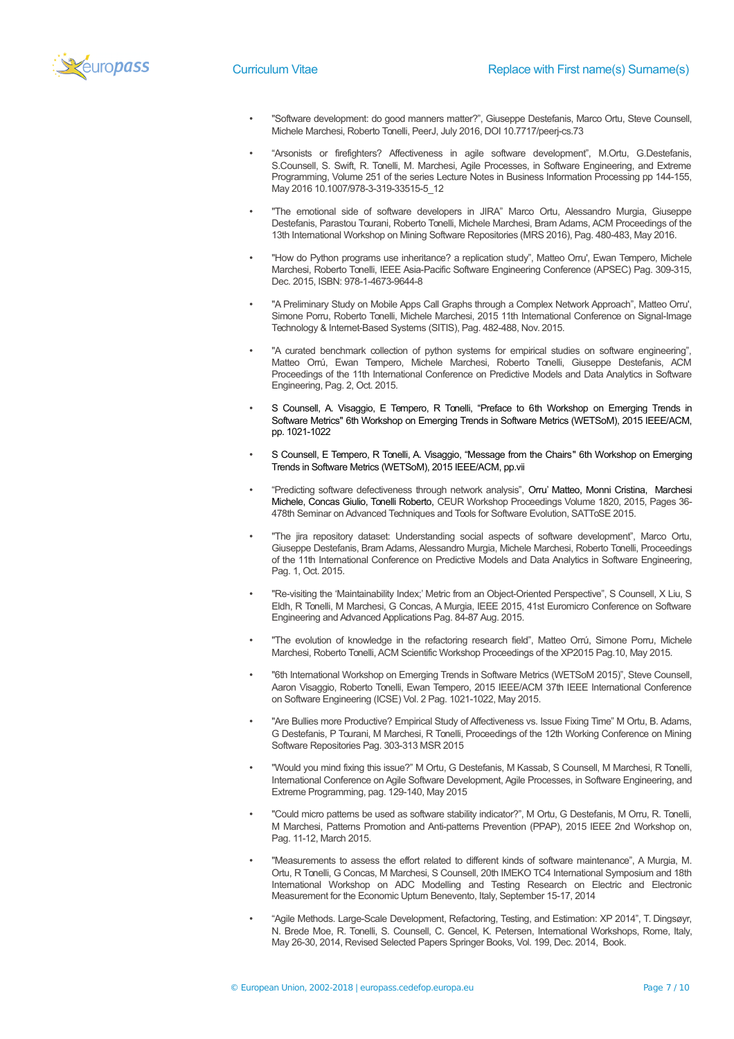- "Software development: do good manners matter?", Giuseppe Destefanis, Marco Ortu, Steve Counsell, Michele Marchesi, Roberto Tonelli, PeerJ, July 2016, DOI 10.7717/peerj-cs.73
- "Arsonists or firefighters? Affectiveness in agile software development", M.Ortu, G.Destefanis, S.Counsell, S. Swift, R. Tonelli, M. Marchesi, Agile Processes, in Software Engineering, and Extreme Programming, Volume 251 of the series Lecture Notes in Business Information Processing pp 144-155, May 2016 10.1007/978-3-319-33515-5\_12
- "The emotional side of software developers in JIRA" Marco Ortu, Alessandro Murgia, Giuseppe Destefanis, Parastou Tourani, Roberto Tonelli, Michele Marchesi, Bram Adams, ACM Proceedings of the 13th International Workshop on Mining Software Repositories (MRS 2016), Pag. 480-483, May 2016.
- "How do Python programs use inheritance? a replication study", Matteo Orru', Ewan Tempero, Michele Marchesi, Roberto Tonelli, IEEE Asia-Pacific Software Engineering Conference (APSEC) Pag. 309-315, Dec. 2015, ISBN: 978-1-4673-9644-8
- "A Preliminary Study on Mobile Apps Call Graphs through a Complex Network Approach", Matteo Orru', Simone Porru, Roberto Tonelli, Michele Marchesi, 2015 11th International Conference on Signal-Image Technology & Internet-Based Systems (SITIS), Pag. 482-488, Nov. 2015.
- "A curated benchmark collection of python systems for empirical studies on software engineering", Matteo Orrú, Ewan Tempero, Michele Marchesi, Roberto Tonelli, Giuseppe Destefanis, ACM Proceedings of the 11th International Conference on Predictive Models and Data Analytics in Software Engineering, Pag. 2, Oct. 2015.
- S Counsell, A. Visaggio, E Tempero, R Tonelli, "Preface to [6th Workshop on Emerging Trends in](javascript:void(0)) [Software Metrics" 6](javascript:void(0))th Workshop on Emerging Trends in Software Metrics (WETSoM), 2015 IEEE/ACM. pp. 1021-1022
- S Counsell, E Tempero, R Tonelli, A. Visaggio, "Message from the Chair[s" 6](javascript:void(0))th Workshop on Emerging Trends in Software Metrics (WETSoM), 2015 IEEE/ACM, pp.vii
- "Predicting software defectiveness through network analysis", Orru' Matteo, Monni Cristina, Marchesi Michele, Concas Giulio, Tonelli Roberto, CEUR Workshop Proceedings Volume 1820, 2015, Pages 36- 478th Seminar on Advanced Techniques and Tools for Software Evolution, SATToSE 2015.
- "The jira repository dataset: Understanding social aspects of software development", Marco Ortu, Giuseppe Destefanis, Bram Adams, Alessandro Murgia, Michele Marchesi, Roberto Tonelli, Proceedings of the 11th International Conference on Predictive Models and Data Analytics in Software Engineering, Pag. 1, Oct. 2015.
- "Re-visiting the 'Maintainability Index;' Metric from an Object-Oriented Perspective", S Counsell, X Liu, S Eldh, R Tonelli, M Marchesi, G Concas, A Murgia, IEEE 2015, 41st Euromicro Conference on Software Engineering and Advanced Applications Pag. 84-87 Aug. 2015.
- "The evolution of knowledge in the refactoring research field", Matteo Orrú, Simone Porru, Michele Marchesi, Roberto Tonelli, ACM Scientific Workshop Proceedings of the XP2015 Pag.10, May 2015.
- "6th International Workshop on Emerging Trends in Software Metrics (WETSoM 2015)", Steve Counsell, Aaron Visaggio, Roberto Tonelli, Ewan Tempero, 2015 IEEE/ACM 37th IEEE International Conference on Software Engineering (ICSE) Vol. 2 Pag. 1021-1022, May 2015.
- "Are Bullies more Productive? Empirical Study of Affectiveness vs. Issue Fixing Time" M Ortu, B. Adams, G Destefanis, P Tourani, M Marchesi, R Tonelli, Proceedings of the 12th Working Conference on Mining Software Repositories Pag. 303-313 MSR 2015
- "Would you mind fixing this issue?" M Ortu, G Destefanis, M Kassab, S Counsell, M Marchesi, R Tonelli, International Conference on Agile Software Development, Agile Processes, in Software Engineering, and Extreme Programming, pag. 129-140, May 2015
- "Could micro patterns be used as software stability indicator?", M Ortu, G Destefanis, M Orru, R. Tonelli, M Marchesi, Patterns Promotion and Anti-patterns Prevention (PPAP), 2015 IEEE 2nd Workshop on, Pag. 11-12, March 2015.
- "Measurements to assess the effort related to different kinds of software maintenance", A Murgia, M. Ortu, R Tonelli, G Concas, M Marchesi, S Counsell, 20th IMEKO TC4 International Symposium and 18th International Workshop on ADC Modelling and Testing Research on Electric and Electronic Measurement for the Economic Upturn Benevento, Italy, September 15-17, 2014
- "Agile Methods. Large-Scale Development, Refactoring, Testing, and Estimation: XP 2014", T. Dingsøyr, N. Brede Moe, R. Tonelli, S. Counsell, C. Gencel, K. Petersen, International Workshops, Rome, Italy, May 26-30, 2014, Revised Selected Papers Springer Books, Vol. 199, Dec. 2014, Book.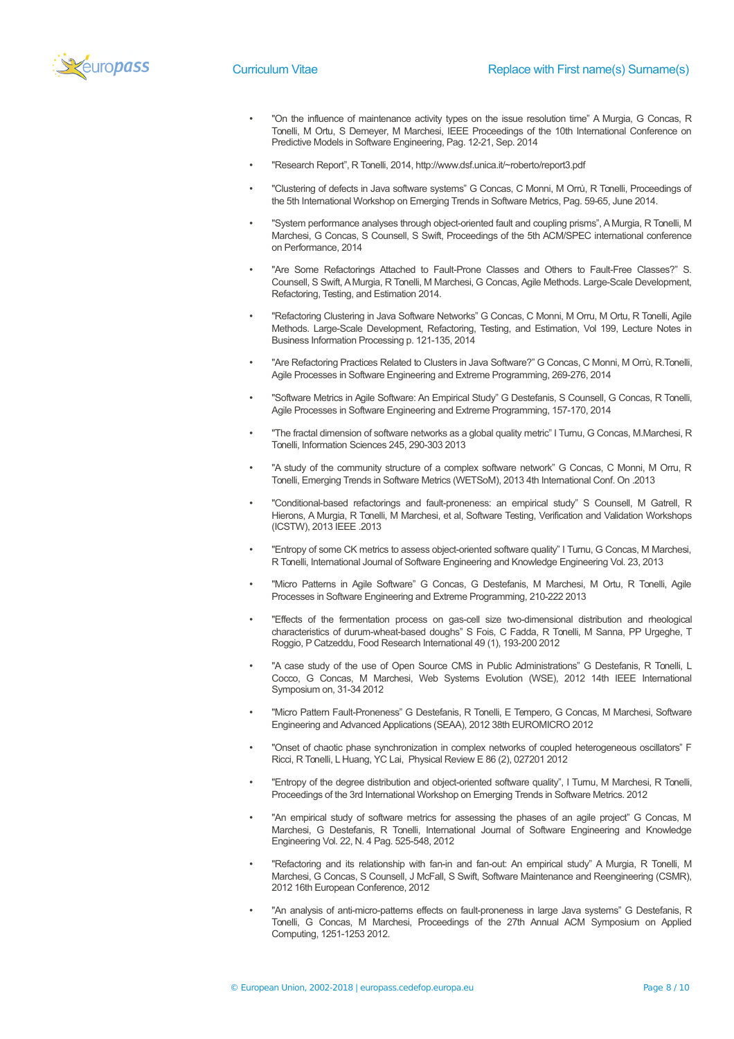

- "On the influence of maintenance activity types on the issue resolution time" A Murgia, G Concas, R Tonelli, M Ortu, S Demeyer, M Marchesi, IEEE Proceedings of the 10th International Conference on Predictive Models in Software Engineering, Pag. 12-21, Sep. 2014
- "Research Report", R Tonelli, 2014, http://www.dsf.unica.it/~roberto/report3.pdf
- "Clustering of defects in Java software systems" G Concas, C Monni, M Orrù, R Tonelli, Proceedings of the 5th International Workshop on Emerging Trends in Software Metrics, Pag. 59-65, June 2014.
- "System performance analyses through object-oriented fault and coupling prisms", A Murgia, R Tonelli, M Marchesi, G Concas, S Counsell, S Swift, Proceedings of the 5th ACM/SPEC international conference on Performance, 2014
- "Are Some Refactorings Attached to Fault-Prone Classes and Others to Fault-Free Classes?" S. Counsell, S Swift, A Murgia, R Tonelli, M Marchesi, G Concas, Agile Methods. Large-Scale Development, Refactoring, Testing, and Estimation 2014.
- "Refactoring Clustering in Java Software Networks" G Concas, C Monni, M Orru, M Ortu, R Tonelli, Agile Methods. Large-Scale Development, Refactoring, Testing, and Estimation, Vol 199, Lecture Notes in Business Information Processing p. 121-135, 2014
- "Are Refactoring Practices Related to Clusters in Java Software?" G Concas, C Monni, M Orrù, R.Tonelli, Agile Processes in Software Engineering and Extreme Programming, 269-276, 2014
- "Software Metrics in Agile Software: An Empirical Study" G Destefanis, S Counsell, G Concas, R Tonelli, Agile Processes in Software Engineering and Extreme Programming, 157-170, 2014
- "The fractal dimension of software networks as a global quality metric" I Turnu, G Concas, M.Marchesi, R Tonelli, Information Sciences 245, 290-303 2013
- "A study of the community structure of a complex software network" G Concas, C Monni, M Orru, R Tonelli, Emerging Trends in Software Metrics (WETSoM), 2013 4th International Conf. On .2013
- "Conditional-based refactorings and fault-proneness: an empirical study" S Counsell, M Gatrell, R Hierons, A Murgia, R Tonelli, M Marchesi, et al, Software Testing, Verification and Validation Workshops (ICSTW), 2013 IEEE .2013
- "Entropy of some CK metrics to assess object-oriented software quality" I Turnu, G Concas, M Marchesi, R Tonelli, International Journal of Software Engineering and Knowledge Engineering Vol. 23, 2013
- "Micro Patterns in Agile Software" G Concas, G Destefanis, M Marchesi, M Ortu, R Tonelli, Agile Processes in Software Engineering and Extreme Programming, 210-222 2013
- "Effects of the fermentation process on gas-cell size two-dimensional distribution and rheological characteristics of durum-wheat-based doughs" S Fois, C Fadda, R Tonelli, M Sanna, PP Urgeghe, T Roggio, P Catzeddu, Food Research International 49 (1), 193-200 2012
- "A case study of the use of Open Source CMS in Public Administrations" G Destefanis, R Tonelli, L Cocco, G Concas, M Marchesi, Web Systems Evolution (WSE), 2012 14th IEEE International Symposium on, 31-34 2012
- "Micro Pattern Fault-Proneness" G Destefanis, R Tonelli, E Tempero, G Concas, M Marchesi, Software Engineering and Advanced Applications (SEAA), 2012 38th EUROMICRO 2012
- "Onset of chaotic phase synchronization in complex networks of coupled heterogeneous oscillators" F Ricci, R Tonelli, L Huang, YC Lai, Physical Review E 86 (2), 027201 2012
- "Entropy of the degree distribution and object-oriented software quality", I Turnu, M Marchesi, R Tonelli, Proceedings of the 3rd International Workshop on Emerging Trends in Software Metrics. 2012
- "An empirical study of software metrics for assessing the phases of an agile project" G Concas, M Marchesi, G Destefanis, R Tonelli, International Journal of Software Engineering and Knowledge Engineering Vol. 22, N. 4 Pag. 525-548, 2012
- "Refactoring and its relationship with fan-in and fan-out: An empirical study" A Murgia, R Tonelli, M Marchesi, G Concas, S Counsell, J McFall, S Swift, Software Maintenance and Reengineering (CSMR), 2012 16th European Conference, 2012
- "An analysis of anti-micro-patterns effects on fault-proneness in large Java systems" G Destefanis, R Tonelli, G Concas, M Marchesi, Proceedings of the 27th Annual ACM Symposium on Applied Computing, 1251-1253 2012.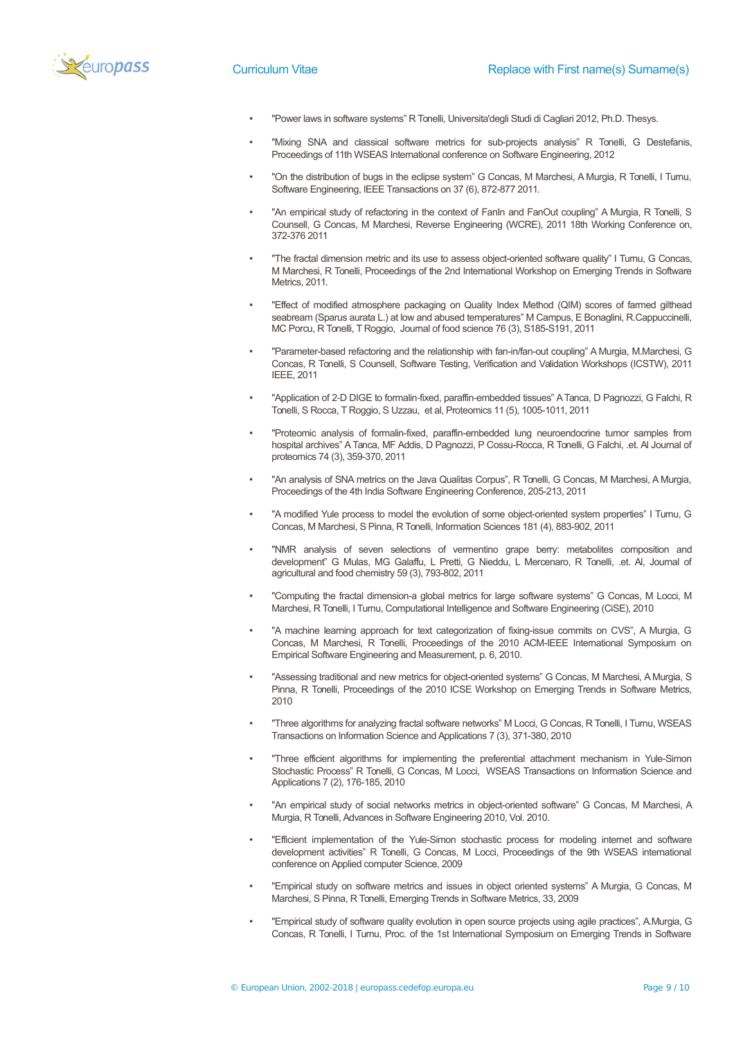

- "Power laws in software systems" R Tonelli, Universita'degli Studi di Cagliari 2012, Ph.D. Thesys.
- "Mixing SNA and classical software metrics for sub-projects analysis" R Tonelli, G Destefanis, Proceedings of 11th WSEAS International conference on Software Engineering, 2012
- "On the distribution of bugs in the eclipse system" G Concas, M Marchesi, A Murgia, R Tonelli, I Turnu, Software Engineering, IEEE Transactions on 37 (6), 872-877 2011.
- "An empirical study of refactoring in the context of FanIn and FanOut coupling" A Murgia, R Tonelli, S Counsell, G Concas, M Marchesi, Reverse Engineering (WCRE), 2011 18th Working Conference on, 372-376 2011
- "The fractal dimension metric and its use to assess object-oriented software quality" I Turnu, G Concas, M Marchesi, R Tonelli, Proceedings of the 2nd International Workshop on Emerging Trends in Software Metrics, 2011.
- "Effect of modified atmosphere packaging on Quality Index Method (QIM) scores of farmed gilthead seabream (Sparus aurata L.) at low and abused temperatures" M Campus, E Bonaglini, R.Cappuccinelli, MC Porcu, R Tonelli, T Roggio, Journal of food science 76 (3), S185-S191, 2011
- "Parameter-based refactoring and the relationship with fan-in/fan-out coupling" A Murgia, M.Marchesi, G Concas, R Tonelli, S Counsell, Software Testing, Verification and Validation Workshops (ICSTW), 2011 IEEE, 2011
- "Application of 2-D DIGE to formalin-fixed, paraffin-embedded tissues" A Tanca, D Pagnozzi, G Falchi, R Tonelli, S Rocca, T Roggio, S Uzzau, et al, Proteomics 11 (5), 1005-1011, 2011
- "Proteomic analysis of formalin-fixed, paraffin-embedded lung neuroendocrine tumor samples from hospital archives" A Tanca, MF Addis, D Pagnozzi, P Cossu-Rocca, R Tonelli, G Falchi, .et. Al Journal of proteomics 74 (3), 359-370, 2011
- "An analysis of SNA metrics on the Java Qualitas Corpus", R Tonelli, G Concas, M Marchesi, A Murgia, Proceedings of the 4th India Software Engineering Conference, 205-213, 2011
- "A modified Yule process to model the evolution of some object-oriented system properties" I Turnu, G Concas, M Marchesi, S Pinna, R Tonelli, Information Sciences 181 (4), 883-902, 2011
- "NMR analysis of seven selections of vermentino grape berry: metabolites composition and development" G Mulas, MG Galaffu, L Pretti, G Nieddu, L Mercenaro, R Tonelli, .et. Al, Journal of agricultural and food chemistry 59 (3), 793-802, 2011
- "Computing the fractal dimension-a global metrics for large software systems" G Concas, M Locci, M Marchesi, R Tonelli, I Turnu, Computational Intelligence and Software Engineering (CiSE), 2010
- "A machine learning approach for text categorization of fixing-issue commits on CVS", A Murgia, G Concas, M Marchesi, R Tonelli, Proceedings of the 2010 ACM-IEEE International Symposium on Empirical Software Engineering and Measurement, p. 6, 2010.
- "Assessing traditional and new metrics for object-oriented systems" G Concas, M Marchesi, A Murgia, S Pinna, R Tonelli, Proceedings of the 2010 ICSE Workshop on Emerging Trends in Software Metrics, 2010
- "Three algorithms for analyzing fractal software networks" M Locci, G Concas, R Tonelli, I Turnu, WSEAS Transactions on Information Science and Applications 7 (3), 371-380, 2010
- "Three efficient algorithms for implementing the preferential attachment mechanism in Yule-Simon Stochastic Process" R Tonelli, G Concas, M Locci, WSEAS Transactions on Information Science and Applications 7 (2), 176-185, 2010
- "An empirical study of social networks metrics in object-oriented software" G Concas, M Marchesi, A Murgia, R Tonelli, Advances in Software Engineering 2010, Vol. 2010.
- "Efficient implementation of the Yule-Simon stochastic process for modeling internet and software development activities" R Tonelli, G Concas, M Locci, Proceedings of the 9th WSEAS international conference on Applied computer Science, 2009
- "Empirical study on software metrics and issues in object oriented systems" A Murgia, G Concas, M Marchesi, S Pinna, R Tonelli, Emerging Trends in Software Metrics, 33, 2009
- "Empirical study of software quality evolution in open source projects using agile practices", A.Murgia, G Concas, R Tonelli, I Turnu, Proc. of the 1st International Symposium on Emerging Trends in Software